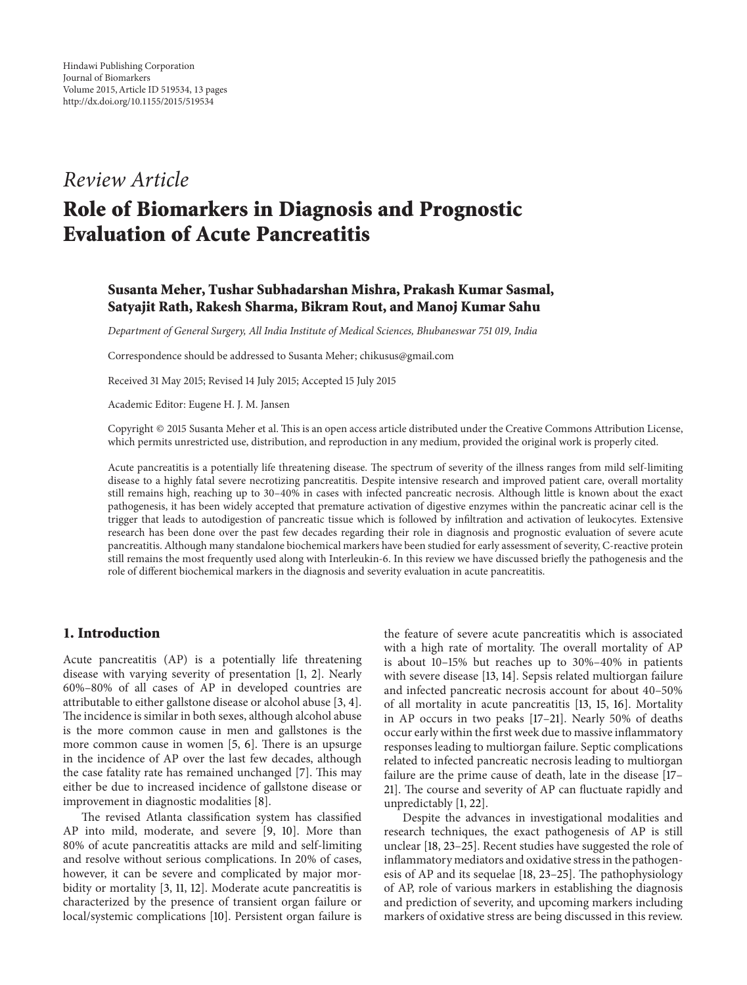## *Review Article*

# **Role of Biomarkers in Diagnosis and Prognostic Evaluation of Acute Pancreatitis**

## **Susanta Meher, Tushar Subhadarshan Mishra, Prakash Kumar Sasmal, Satyajit Rath, Rakesh Sharma, Bikram Rout, and Manoj Kumar Sahu**

*Department of General Surgery, All India Institute of Medical Sciences, Bhubaneswar 751 019, India*

Correspondence should be addressed to Susanta Meher; chikusus@gmail.com

Received 31 May 2015; Revised 14 July 2015; Accepted 15 July 2015

Academic Editor: Eugene H. J. M. Jansen

Copyright © 2015 Susanta Meher et al. This is an open access article distributed under the Creative Commons Attribution License, which permits unrestricted use, distribution, and reproduction in any medium, provided the original work is properly cited.

Acute pancreatitis is a potentially life threatening disease. The spectrum of severity of the illness ranges from mild self-limiting disease to a highly fatal severe necrotizing pancreatitis. Despite intensive research and improved patient care, overall mortality still remains high, reaching up to 30–40% in cases with infected pancreatic necrosis. Although little is known about the exact pathogenesis, it has been widely accepted that premature activation of digestive enzymes within the pancreatic acinar cell is the trigger that leads to autodigestion of pancreatic tissue which is followed by infiltration and activation of leukocytes. Extensive research has been done over the past few decades regarding their role in diagnosis and prognostic evaluation of severe acute pancreatitis. Although many standalone biochemical markers have been studied for early assessment of severity, C-reactive protein still remains the most frequently used along with Interleukin-6. In this review we have discussed briefly the pathogenesis and the role of different biochemical markers in the diagnosis and severity evaluation in acute pancreatitis.

#### **1. Introduction**

Acute pancreatitis (AP) is a potentially life threatening disease with varying severity of presentation [1, 2]. Nearly 60%–80% of all cases of AP in developed countries are attributable to either gallstone disease or alcohol abuse [3, 4]. The incidence is similar in both sexes, although alcohol abuse is the more common cause in men and gallstones is the more common cause in women [5, 6]. There is an upsurge in the incidence of AP over the last few decades, although the case fatality rate has remained unchanged [7]. This may either be due to increased incidence of gallstone disease or improvement in diagnostic modalities [8].

The revised Atlanta classification system has classified AP into mild, moderate, and severe [9, 10]. More than 80% of acute pancreatitis attacks are mild and self-limiting and resolve without serious complications. In 20% of cases, however, it can be severe and complicated by major morbidity or mortality [3, 11, 12]. Moderate acute pancreatitis is characterized by the presence of transient organ failure or local/systemic complications [10]. Persistent organ failure is

the feature of severe acute pancreatitis which is associated with a high rate of mortality. The overall mortality of AP is about 10–15% but reaches up to 30%–40% in patients with severe disease [13, 14]. Sepsis related multiorgan failure and infected pancreatic necrosis account for about 40–50% of all mortality in acute pancreatitis [13, 15, 16]. Mortality in AP occurs in two peaks [17–21]. Nearly 50% of deaths occur early within the first week due to massive inflammatory responses leading to multiorgan failure. Septic complications related to infected pancreatic necrosis leading to multiorgan failure are the prime cause of death, late in the disease [17– 21]. The course and severity of AP can fluctuate rapidly and unpredictably [1, 22].

Despite the advances in investigational modalities and research techniques, the exact pathogenesis of AP is still unclear [18, 23–25]. Recent studies have suggested the role of inflammatory mediators and oxidative stress in the pathogenesis of AP and its sequelae [18, 23–25]. The pathophysiology of AP, role of various markers in establishing the diagnosis and prediction of severity, and upcoming markers including markers of oxidative stress are being discussed in this review.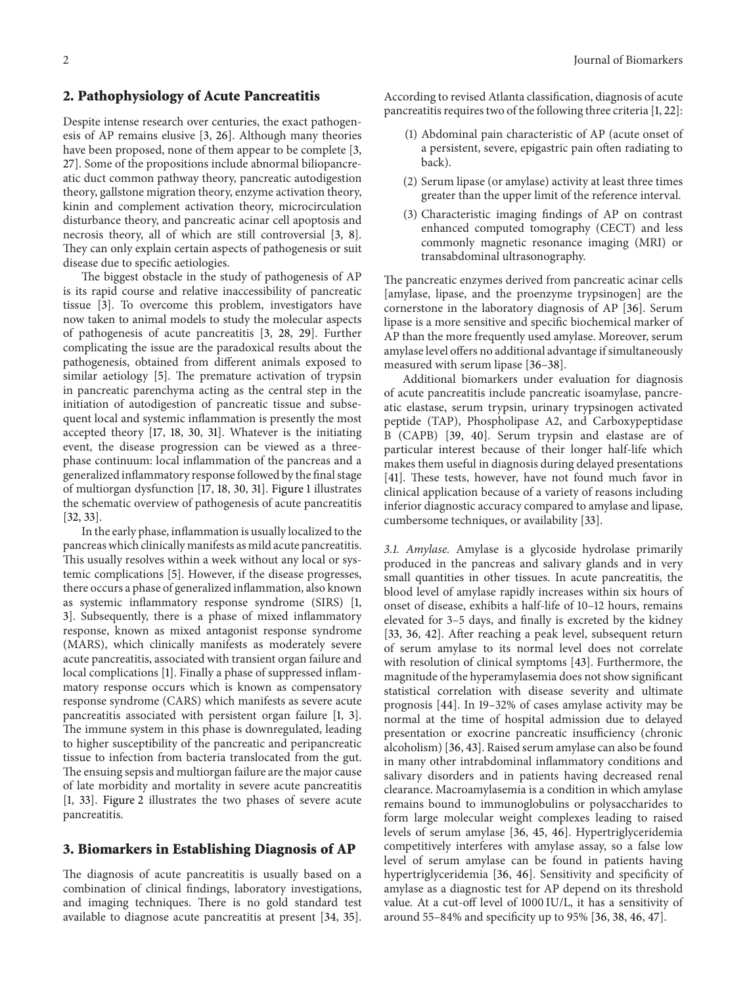## **2. Pathophysiology of Acute Pancreatitis**

Despite intense research over centuries, the exact pathogenesis of AP remains elusive [3, 26]. Although many theories have been proposed, none of them appear to be complete [3, 27]. Some of the propositions include abnormal biliopancreatic duct common pathway theory, pancreatic autodigestion theory, gallstone migration theory, enzyme activation theory, kinin and complement activation theory, microcirculation disturbance theory, and pancreatic acinar cell apoptosis and necrosis theory, all of which are still controversial [3, 8]. They can only explain certain aspects of pathogenesis or suit disease due to specific aetiologies.

The biggest obstacle in the study of pathogenesis of AP is its rapid course and relative inaccessibility of pancreatic tissue [3]. To overcome this problem, investigators have now taken to animal models to study the molecular aspects of pathogenesis of acute pancreatitis [3, 28, 29]. Further complicating the issue are the paradoxical results about the pathogenesis, obtained from different animals exposed to similar aetiology [5]. The premature activation of trypsin in pancreatic parenchyma acting as the central step in the initiation of autodigestion of pancreatic tissue and subsequent local and systemic inflammation is presently the most accepted theory [17, 18, 30, 31]. Whatever is the initiating event, the disease progression can be viewed as a threephase continuum: local inflammation of the pancreas and a generalized inflammatory response followed by the final stage of multiorgan dysfunction [17, 18, 30, 31]. Figure 1 illustrates the schematic overview of pathogenesis of acute pancreatitis [32, 33].

In the early phase, inflammation is usually localized to the pancreas which clinically manifests as mild acute pancreatitis. This usually resolves within a week without any local or systemic complications [5]. However, if the disease progresses, there occurs a phase of generalized inflammation, also known as systemic inflammatory response syndrome (SIRS) [1, 3]. Subsequently, there is a phase of mixed inflammatory response, known as mixed antagonist response syndrome (MARS), which clinically manifests as moderately severe acute pancreatitis, associated with transient organ failure and local complications [1]. Finally a phase of suppressed inflammatory response occurs which is known as compensatory response syndrome (CARS) which manifests as severe acute pancreatitis associated with persistent organ failure [1, 3]. The immune system in this phase is downregulated, leading to higher susceptibility of the pancreatic and peripancreatic tissue to infection from bacteria translocated from the gut. The ensuing sepsis and multiorgan failure are the major cause of late morbidity and mortality in severe acute pancreatitis [1, 33]. Figure 2 illustrates the two phases of severe acute pancreatitis.

#### **3. Biomarkers in Establishing Diagnosis of AP**

The diagnosis of acute pancreatitis is usually based on a combination of clinical findings, laboratory investigations, and imaging techniques. There is no gold standard test available to diagnose acute pancreatitis at present [34, 35]. According to revised Atlanta classification, diagnosis of acute pancreatitis requires two of the following three criteria [1, 22]:

- (1) Abdominal pain characteristic of AP (acute onset of a persistent, severe, epigastric pain often radiating to back).
- (2) Serum lipase (or amylase) activity at least three times greater than the upper limit of the reference interval.
- (3) Characteristic imaging findings of AP on contrast enhanced computed tomography (CECT) and less commonly magnetic resonance imaging (MRI) or transabdominal ultrasonography.

The pancreatic enzymes derived from pancreatic acinar cells [amylase, lipase, and the proenzyme trypsinogen] are the cornerstone in the laboratory diagnosis of AP [36]. Serum lipase is a more sensitive and specific biochemical marker of AP than the more frequently used amylase. Moreover, serum amylase level offers no additional advantage if simultaneously measured with serum lipase [36–38].

Additional biomarkers under evaluation for diagnosis of acute pancreatitis include pancreatic isoamylase, pancreatic elastase, serum trypsin, urinary trypsinogen activated peptide (TAP), Phospholipase A2, and Carboxypeptidase B (CAPB) [39, 40]. Serum trypsin and elastase are of particular interest because of their longer half-life which makes them useful in diagnosis during delayed presentations [41]. These tests, however, have not found much favor in clinical application because of a variety of reasons including inferior diagnostic accuracy compared to amylase and lipase, cumbersome techniques, or availability [33].

*3.1. Amylase.* Amylase is a glycoside hydrolase primarily produced in the pancreas and salivary glands and in very small quantities in other tissues. In acute pancreatitis, the blood level of amylase rapidly increases within six hours of onset of disease, exhibits a half-life of 10–12 hours, remains elevated for 3–5 days, and finally is excreted by the kidney [33, 36, 42]. After reaching a peak level, subsequent return of serum amylase to its normal level does not correlate with resolution of clinical symptoms [43]. Furthermore, the magnitude of the hyperamylasemia does not show significant statistical correlation with disease severity and ultimate prognosis [44]. In 19–32% of cases amylase activity may be normal at the time of hospital admission due to delayed presentation or exocrine pancreatic insufficiency (chronic alcoholism) [36, 43]. Raised serum amylase can also be found in many other intrabdominal inflammatory conditions and salivary disorders and in patients having decreased renal clearance. Macroamylasemia is a condition in which amylase remains bound to immunoglobulins or polysaccharides to form large molecular weight complexes leading to raised levels of serum amylase [36, 45, 46]. Hypertriglyceridemia competitively interferes with amylase assay, so a false low level of serum amylase can be found in patients having hypertriglyceridemia [36, 46]. Sensitivity and specificity of amylase as a diagnostic test for AP depend on its threshold value. At a cut-off level of 1000 IU/L, it has a sensitivity of around 55–84% and specificity up to 95% [36, 38, 46, 47].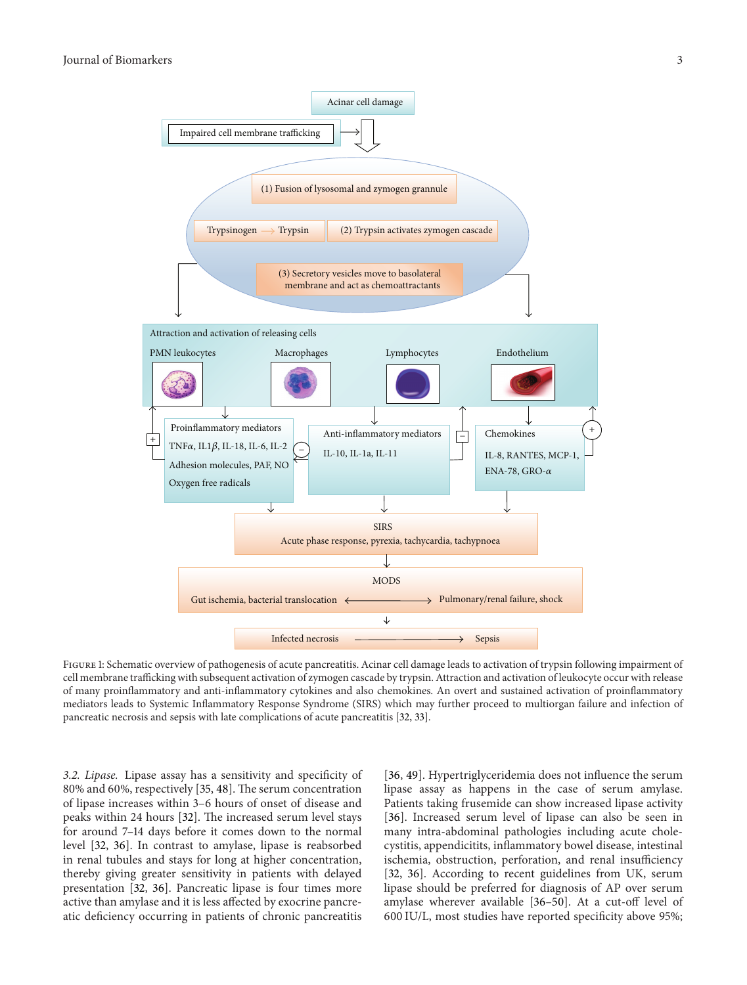

FIGURE 1: Schematic overview of pathogenesis of acute pancreatitis. Acinar cell damage leads to activation of trypsin following impairment of cell membrane trafficking with subsequent activation of zymogen cascade by trypsin. Attraction and activation of leukocyte occur with release of many proinflammatory and anti-inflammatory cytokines and also chemokines. An overt and sustained activation of proinflammatory mediators leads to Systemic Inflammatory Response Syndrome (SIRS) which may further proceed to multiorgan failure and infection of pancreatic necrosis and sepsis with late complications of acute pancreatitis [32, 33].

*3.2. Lipase.* Lipase assay has a sensitivity and specificity of 80% and 60%, respectively [35, 48]. The serum concentration of lipase increases within 3–6 hours of onset of disease and peaks within 24 hours [32]. The increased serum level stays for around 7–14 days before it comes down to the normal level [32, 36]. In contrast to amylase, lipase is reabsorbed in renal tubules and stays for long at higher concentration, thereby giving greater sensitivity in patients with delayed presentation [32, 36]. Pancreatic lipase is four times more active than amylase and it is less affected by exocrine pancreatic deficiency occurring in patients of chronic pancreatitis

[36, 49]. Hypertriglyceridemia does not influence the serum lipase assay as happens in the case of serum amylase. Patients taking frusemide can show increased lipase activity [36]. Increased serum level of lipase can also be seen in many intra-abdominal pathologies including acute cholecystitis, appendicitits, inflammatory bowel disease, intestinal ischemia, obstruction, perforation, and renal insufficiency [32, 36]. According to recent guidelines from UK, serum lipase should be preferred for diagnosis of AP over serum amylase wherever available [36–50]. At a cut-off level of 600 IU/L, most studies have reported specificity above 95%;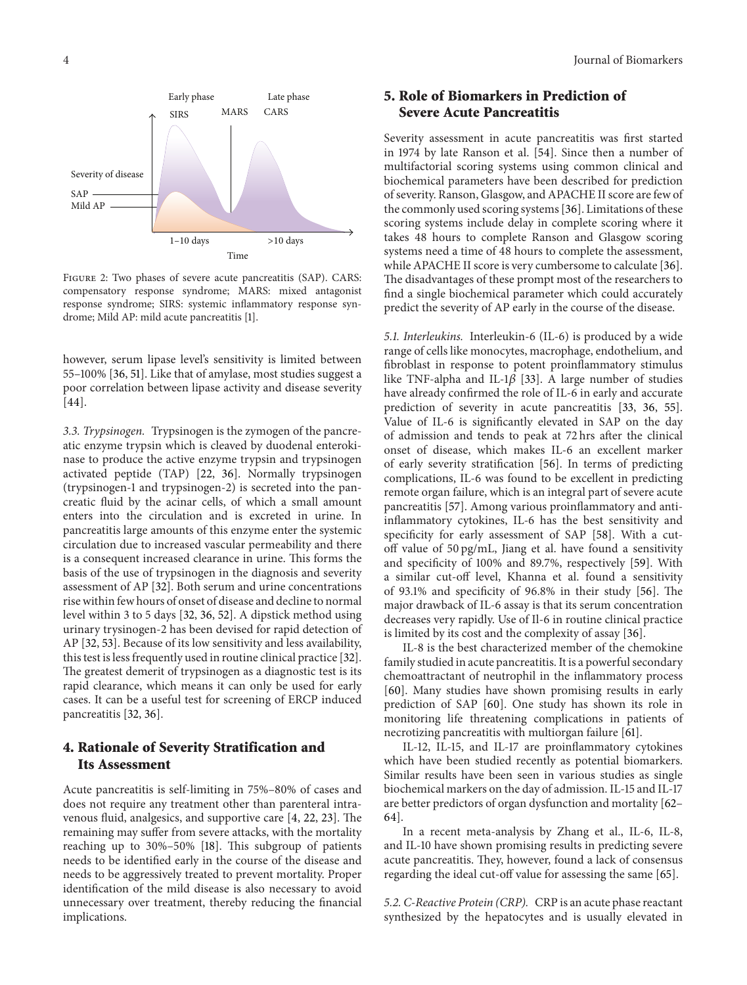

Figure 2: Two phases of severe acute pancreatitis (SAP). CARS: compensatory response syndrome; MARS: mixed antagonist response syndrome; SIRS: systemic inflammatory response syndrome; Mild AP: mild acute pancreatitis [1].

however, serum lipase level's sensitivity is limited between 55–100% [36, 51]. Like that of amylase, most studies suggest a poor correlation between lipase activity and disease severity [44].

*3.3. Trypsinogen.* Trypsinogen is the zymogen of the pancreatic enzyme trypsin which is cleaved by duodenal enterokinase to produce the active enzyme trypsin and trypsinogen activated peptide (TAP) [22, 36]. Normally trypsinogen (trypsinogen-1 and trypsinogen-2) is secreted into the pancreatic fluid by the acinar cells, of which a small amount enters into the circulation and is excreted in urine. In pancreatitis large amounts of this enzyme enter the systemic circulation due to increased vascular permeability and there is a consequent increased clearance in urine. This forms the basis of the use of trypsinogen in the diagnosis and severity assessment of AP [32]. Both serum and urine concentrations rise within few hours of onset of disease and decline to normal level within 3 to 5 days [32, 36, 52]. A dipstick method using urinary trysinogen-2 has been devised for rapid detection of AP [32, 53]. Because of its low sensitivity and less availability, this test is less frequently used in routine clinical practice [32]. The greatest demerit of trypsinogen as a diagnostic test is its rapid clearance, which means it can only be used for early cases. It can be a useful test for screening of ERCP induced pancreatitis [32, 36].

## **4. Rationale of Severity Stratification and Its Assessment**

Acute pancreatitis is self-limiting in 75%–80% of cases and does not require any treatment other than parenteral intravenous fluid, analgesics, and supportive care [4, 22, 23]. The remaining may suffer from severe attacks, with the mortality reaching up to 30%–50% [18]. This subgroup of patients needs to be identified early in the course of the disease and needs to be aggressively treated to prevent mortality. Proper identification of the mild disease is also necessary to avoid unnecessary over treatment, thereby reducing the financial implications.

## **5. Role of Biomarkers in Prediction of Severe Acute Pancreatitis**

Severity assessment in acute pancreatitis was first started in 1974 by late Ranson et al. [54]. Since then a number of multifactorial scoring systems using common clinical and biochemical parameters have been described for prediction of severity. Ranson, Glasgow, and APACHE II score are few of the commonly used scoring systems [36]. Limitations of these scoring systems include delay in complete scoring where it takes 48 hours to complete Ranson and Glasgow scoring systems need a time of 48 hours to complete the assessment, while APACHE II score is very cumbersome to calculate [36]. The disadvantages of these prompt most of the researchers to find a single biochemical parameter which could accurately predict the severity of AP early in the course of the disease.

*5.1. Interleukins.* Interleukin-6 (IL-6) is produced by a wide range of cells like monocytes, macrophage, endothelium, and fibroblast in response to potent proinflammatory stimulus like TNF-alpha and IL-1 $\beta$  [33]. A large number of studies have already confirmed the role of IL-6 in early and accurate prediction of severity in acute pancreatitis [33, 36, 55]. Value of IL-6 is significantly elevated in SAP on the day of admission and tends to peak at 72 hrs after the clinical onset of disease, which makes IL-6 an excellent marker of early severity stratification [56]. In terms of predicting complications, IL-6 was found to be excellent in predicting remote organ failure, which is an integral part of severe acute pancreatitis [57]. Among various proinflammatory and antiinflammatory cytokines, IL-6 has the best sensitivity and specificity for early assessment of SAP [58]. With a cutoff value of 50 pg/mL, Jiang et al. have found a sensitivity and specificity of 100% and 89.7%, respectively [59]. With a similar cut-off level, Khanna et al. found a sensitivity of 93.1% and specificity of 96.8% in their study [56]. The major drawback of IL-6 assay is that its serum concentration decreases very rapidly. Use of Il-6 in routine clinical practice is limited by its cost and the complexity of assay [36].

IL-8 is the best characterized member of the chemokine family studied in acute pancreatitis. It is a powerful secondary chemoattractant of neutrophil in the inflammatory process [60]. Many studies have shown promising results in early prediction of SAP [60]. One study has shown its role in monitoring life threatening complications in patients of necrotizing pancreatitis with multiorgan failure [61].

IL-12, IL-15, and IL-17 are proinflammatory cytokines which have been studied recently as potential biomarkers. Similar results have been seen in various studies as single biochemical markers on the day of admission. IL-15 and IL-17 are better predictors of organ dysfunction and mortality [62– 64].

In a recent meta-analysis by Zhang et al., IL-6, IL-8, and IL-10 have shown promising results in predicting severe acute pancreatitis. They, however, found a lack of consensus regarding the ideal cut-off value for assessing the same [65].

*5.2. C-Reactive Protein (CRP).* CRP is an acute phase reactant synthesized by the hepatocytes and is usually elevated in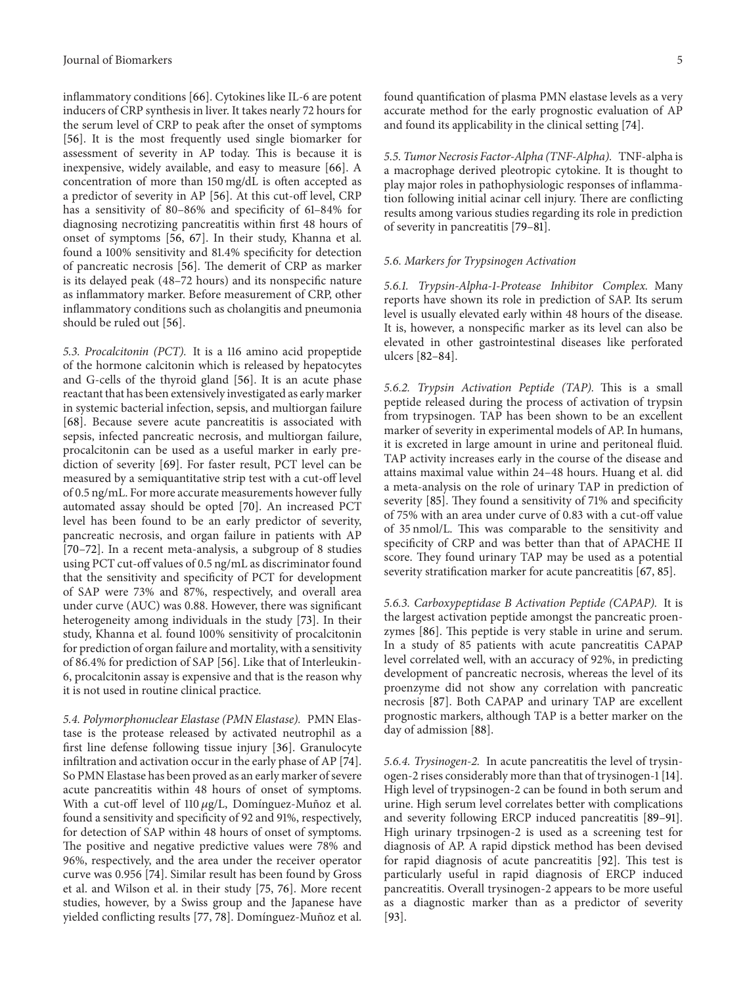inflammatory conditions [66]. Cytokines like IL-6 are potent inducers of CRP synthesis in liver. It takes nearly 72 hours for the serum level of CRP to peak after the onset of symptoms [56]. It is the most frequently used single biomarker for assessment of severity in AP today. This is because it is inexpensive, widely available, and easy to measure [66]. A concentration of more than 150 mg/dL is often accepted as a predictor of severity in AP [56]. At this cut-off level, CRP has a sensitivity of 80–86% and specificity of 61–84% for diagnosing necrotizing pancreatitis within first 48 hours of onset of symptoms [56, 67]. In their study, Khanna et al. found a 100% sensitivity and 81.4% specificity for detection of pancreatic necrosis [56]. The demerit of CRP as marker is its delayed peak (48–72 hours) and its nonspecific nature as inflammatory marker. Before measurement of CRP, other inflammatory conditions such as cholangitis and pneumonia should be ruled out [56].

*5.3. Procalcitonin (PCT).* It is a 116 amino acid propeptide of the hormone calcitonin which is released by hepatocytes and G-cells of the thyroid gland [56]. It is an acute phase reactant that has been extensively investigated as early marker in systemic bacterial infection, sepsis, and multiorgan failure [68]. Because severe acute pancreatitis is associated with sepsis, infected pancreatic necrosis, and multiorgan failure, procalcitonin can be used as a useful marker in early prediction of severity [69]. For faster result, PCT level can be measured by a semiquantitative strip test with a cut-off level of 0.5 ng/mL. For more accurate measurements however fully automated assay should be opted [70]. An increased PCT level has been found to be an early predictor of severity, pancreatic necrosis, and organ failure in patients with AP [70–72]. In a recent meta-analysis, a subgroup of 8 studies using PCT cut-off values of 0.5 ng/mL as discriminator found that the sensitivity and specificity of PCT for development of SAP were 73% and 87%, respectively, and overall area under curve (AUC) was 0.88. However, there was significant heterogeneity among individuals in the study [73]. In their study, Khanna et al. found 100% sensitivity of procalcitonin for prediction of organ failure and mortality, with a sensitivity of 86.4% for prediction of SAP [56]. Like that of Interleukin-6, procalcitonin assay is expensive and that is the reason why it is not used in routine clinical practice.

*5.4. Polymorphonuclear Elastase (PMN Elastase).* PMN Elastase is the protease released by activated neutrophil as a first line defense following tissue injury [36]. Granulocyte infiltration and activation occur in the early phase of AP [74]. So PMN Elastase has been proved as an early marker of severe acute pancreatitis within 48 hours of onset of symptoms. With a cut-off level of 110  $\mu$ g/L, Domínguez-Muñoz et al. found a sensitivity and specificity of 92 and 91%, respectively, for detection of SAP within 48 hours of onset of symptoms. The positive and negative predictive values were 78% and 96%, respectively, and the area under the receiver operator curve was 0.956 [74]. Similar result has been found by Gross et al. and Wilson et al. in their study [75, 76]. More recent studies, however, by a Swiss group and the Japanese have yielded conflicting results [77, 78]. Domínguez-Muñoz et al.

found quantification of plasma PMN elastase levels as a very accurate method for the early prognostic evaluation of AP and found its applicability in the clinical setting [74].

*5.5. Tumor Necrosis Factor-Alpha (TNF-Alpha).* TNF-alpha is a macrophage derived pleotropic cytokine. It is thought to play major roles in pathophysiologic responses of inflammation following initial acinar cell injury. There are conflicting results among various studies regarding its role in prediction of severity in pancreatitis [79–81].

#### *5.6. Markers for Trypsinogen Activation*

*5.6.1. Trypsin-Alpha-1-Protease Inhibitor Complex.* Many reports have shown its role in prediction of SAP. Its serum level is usually elevated early within 48 hours of the disease. It is, however, a nonspecific marker as its level can also be elevated in other gastrointestinal diseases like perforated ulcers [82–84].

*5.6.2. Trypsin Activation Peptide (TAP).* This is a small peptide released during the process of activation of trypsin from trypsinogen. TAP has been shown to be an excellent marker of severity in experimental models of AP. In humans, it is excreted in large amount in urine and peritoneal fluid. TAP activity increases early in the course of the disease and attains maximal value within 24–48 hours. Huang et al. did a meta-analysis on the role of urinary TAP in prediction of severity [85]. They found a sensitivity of 71% and specificity of 75% with an area under curve of 0.83 with a cut-off value of 35 nmol/L. This was comparable to the sensitivity and specificity of CRP and was better than that of APACHE II score. They found urinary TAP may be used as a potential severity stratification marker for acute pancreatitis [67, 85].

*5.6.3. Carboxypeptidase B Activation Peptide (CAPAP).* It is the largest activation peptide amongst the pancreatic proenzymes [86]. This peptide is very stable in urine and serum. In a study of 85 patients with acute pancreatitis CAPAP level correlated well, with an accuracy of 92%, in predicting development of pancreatic necrosis, whereas the level of its proenzyme did not show any correlation with pancreatic necrosis [87]. Both CAPAP and urinary TAP are excellent prognostic markers, although TAP is a better marker on the day of admission [88].

*5.6.4. Trysinogen-2.* In acute pancreatitis the level of trysinogen-2 rises considerably more than that of trysinogen-1 [14]. High level of trypsinogen-2 can be found in both serum and urine. High serum level correlates better with complications and severity following ERCP induced pancreatitis [89–91]. High urinary trpsinogen-2 is used as a screening test for diagnosis of AP. A rapid dipstick method has been devised for rapid diagnosis of acute pancreatitis [92]. This test is particularly useful in rapid diagnosis of ERCP induced pancreatitis. Overall trysinogen-2 appears to be more useful as a diagnostic marker than as a predictor of severity [93].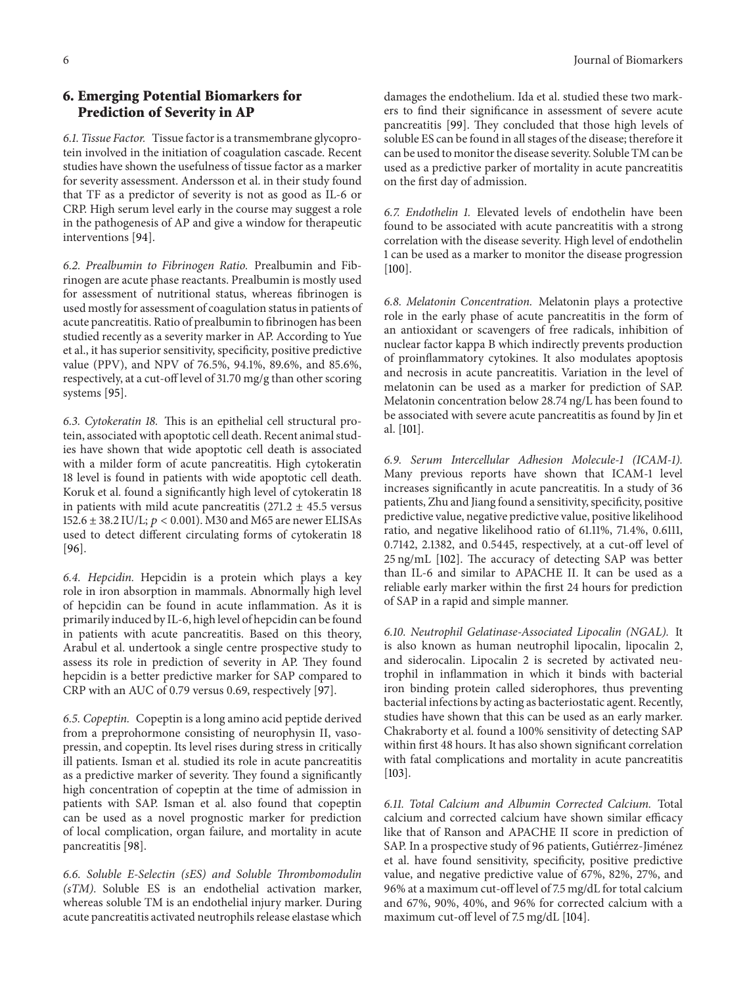## **6. Emerging Potential Biomarkers for Prediction of Severity in AP**

*6.1. Tissue Factor.* Tissue factor is a transmembrane glycoprotein involved in the initiation of coagulation cascade. Recent studies have shown the usefulness of tissue factor as a marker for severity assessment. Andersson et al. in their study found that TF as a predictor of severity is not as good as IL-6 or CRP. High serum level early in the course may suggest a role in the pathogenesis of AP and give a window for therapeutic interventions [94].

*6.2. Prealbumin to Fibrinogen Ratio.* Prealbumin and Fibrinogen are acute phase reactants. Prealbumin is mostly used for assessment of nutritional status, whereas fibrinogen is used mostly for assessment of coagulation status in patients of acute pancreatitis. Ratio of prealbumin to fibrinogen has been studied recently as a severity marker in AP. According to Yue et al., it has superior sensitivity, specificity, positive predictive value (PPV), and NPV of 76.5%, 94.1%, 89.6%, and 85.6%, respectively, at a cut-off level of 31.70 mg/g than other scoring systems [95].

*6.3. Cytokeratin 18.* This is an epithelial cell structural protein, associated with apoptotic cell death. Recent animal studies have shown that wide apoptotic cell death is associated with a milder form of acute pancreatitis. High cytokeratin 18 level is found in patients with wide apoptotic cell death. Koruk et al. found a significantly high level of cytokeratin 18 in patients with mild acute pancreatitis  $(271.2 \pm 45.5 \text{ versus}$ 152.6  $\pm$  38.2 IU/L;  $p < 0.001$ ). M30 and M65 are newer ELISAs used to detect different circulating forms of cytokeratin 18 [96].

*6.4. Hepcidin.* Hepcidin is a protein which plays a key role in iron absorption in mammals. Abnormally high level of hepcidin can be found in acute inflammation. As it is primarily induced by IL-6, high level of hepcidin can be found in patients with acute pancreatitis. Based on this theory, Arabul et al. undertook a single centre prospective study to assess its role in prediction of severity in AP. They found hepcidin is a better predictive marker for SAP compared to CRP with an AUC of 0.79 versus 0.69, respectively [97].

*6.5. Copeptin.* Copeptin is a long amino acid peptide derived from a preprohormone consisting of neurophysin II, vasopressin, and copeptin. Its level rises during stress in critically ill patients. Isman et al. studied its role in acute pancreatitis as a predictive marker of severity. They found a significantly high concentration of copeptin at the time of admission in patients with SAP. Isman et al. also found that copeptin can be used as a novel prognostic marker for prediction of local complication, organ failure, and mortality in acute pancreatitis [98].

*6.6. Soluble E-Selectin (sES) and Soluble Thrombomodulin (sTM).* Soluble ES is an endothelial activation marker, whereas soluble TM is an endothelial injury marker. During acute pancreatitis activated neutrophils release elastase which

damages the endothelium. Ida et al. studied these two markers to find their significance in assessment of severe acute pancreatitis [99]. They concluded that those high levels of soluble ES can be found in all stages of the disease; therefore it can be used to monitor the disease severity. Soluble TM can be used as a predictive parker of mortality in acute pancreatitis on the first day of admission.

*6.7. Endothelin 1.* Elevated levels of endothelin have been found to be associated with acute pancreatitis with a strong correlation with the disease severity. High level of endothelin 1 can be used as a marker to monitor the disease progression [100].

*6.8. Melatonin Concentration.* Melatonin plays a protective role in the early phase of acute pancreatitis in the form of an antioxidant or scavengers of free radicals, inhibition of nuclear factor kappa B which indirectly prevents production of proinflammatory cytokines. It also modulates apoptosis and necrosis in acute pancreatitis. Variation in the level of melatonin can be used as a marker for prediction of SAP. Melatonin concentration below 28.74 ng/L has been found to be associated with severe acute pancreatitis as found by Jin et al. [101].

*6.9. Serum Intercellular Adhesion Molecule-1 (ICAM-1).* Many previous reports have shown that ICAM-1 level increases significantly in acute pancreatitis. In a study of 36 patients, Zhu and Jiang found a sensitivity, specificity, positive predictive value, negative predictive value, positive likelihood ratio, and negative likelihood ratio of 61.11%, 71.4%, 0.6111, 0.7142, 2.1382, and 0.5445, respectively, at a cut-off level of 25 ng/mL [102]. The accuracy of detecting SAP was better than IL-6 and similar to APACHE II. It can be used as a reliable early marker within the first 24 hours for prediction of SAP in a rapid and simple manner.

*6.10. Neutrophil Gelatinase-Associated Lipocalin (NGAL).* It is also known as human neutrophil lipocalin, lipocalin 2, and siderocalin. Lipocalin 2 is secreted by activated neutrophil in inflammation in which it binds with bacterial iron binding protein called siderophores, thus preventing bacterial infections by acting as bacteriostatic agent. Recently, studies have shown that this can be used as an early marker. Chakraborty et al. found a 100% sensitivity of detecting SAP within first 48 hours. It has also shown significant correlation with fatal complications and mortality in acute pancreatitis [103].

*6.11. Total Calcium and Albumin Corrected Calcium.* Total calcium and corrected calcium have shown similar efficacy like that of Ranson and APACHE II score in prediction of SAP. In a prospective study of 96 patients, Gutiérrez-Jiménez et al. have found sensitivity, specificity, positive predictive value, and negative predictive value of 67%, 82%, 27%, and 96% at a maximum cut-off level of 7.5 mg/dL for total calcium and 67%, 90%, 40%, and 96% for corrected calcium with a maximum cut-off level of 7.5 mg/dL [104].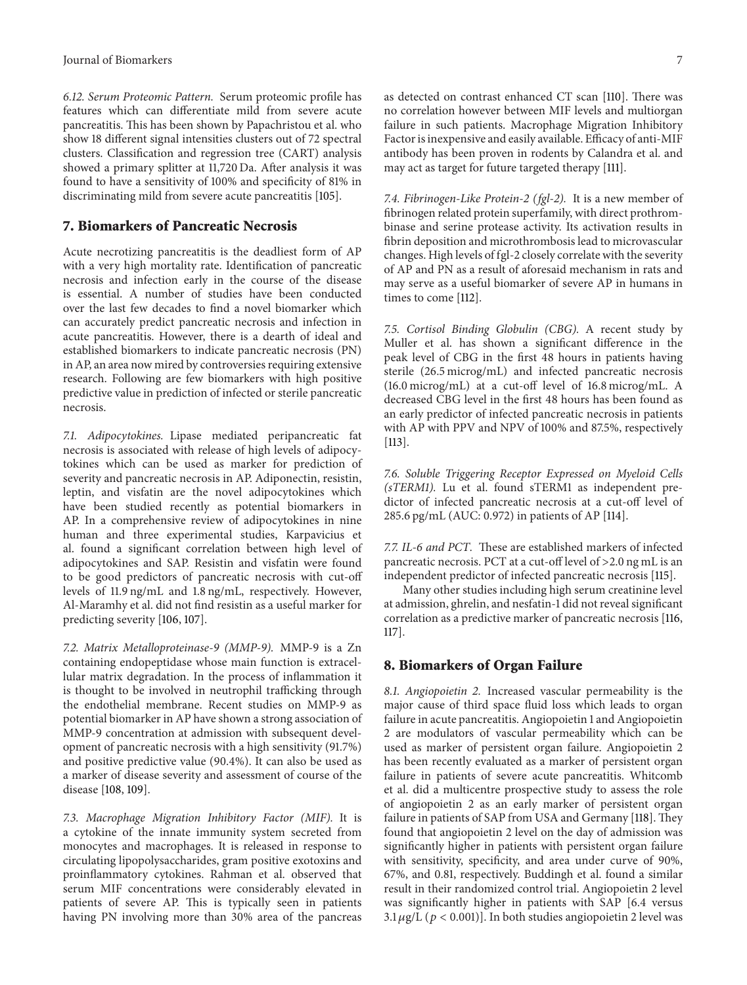*6.12. Serum Proteomic Pattern.* Serum proteomic profile has features which can differentiate mild from severe acute pancreatitis. This has been shown by Papachristou et al. who show 18 different signal intensities clusters out of 72 spectral clusters. Classification and regression tree (CART) analysis showed a primary splitter at 11,720 Da. After analysis it was found to have a sensitivity of 100% and specificity of 81% in discriminating mild from severe acute pancreatitis [105].

### **7. Biomarkers of Pancreatic Necrosis**

Acute necrotizing pancreatitis is the deadliest form of AP with a very high mortality rate. Identification of pancreatic necrosis and infection early in the course of the disease is essential. A number of studies have been conducted over the last few decades to find a novel biomarker which can accurately predict pancreatic necrosis and infection in acute pancreatitis. However, there is a dearth of ideal and established biomarkers to indicate pancreatic necrosis (PN) in AP, an area now mired by controversies requiring extensive research. Following are few biomarkers with high positive predictive value in prediction of infected or sterile pancreatic necrosis.

*7.1. Adipocytokines.* Lipase mediated peripancreatic fat necrosis is associated with release of high levels of adipocytokines which can be used as marker for prediction of severity and pancreatic necrosis in AP. Adiponectin, resistin, leptin, and visfatin are the novel adipocytokines which have been studied recently as potential biomarkers in AP. In a comprehensive review of adipocytokines in nine human and three experimental studies, Karpavicius et al. found a significant correlation between high level of adipocytokines and SAP. Resistin and visfatin were found to be good predictors of pancreatic necrosis with cut-off levels of 11.9 ng/mL and 1.8 ng/mL, respectively. However, Al-Maramhy et al. did not find resistin as a useful marker for predicting severity [106, 107].

*7.2. Matrix Metalloproteinase-9 (MMP-9).* MMP-9 is a Zn containing endopeptidase whose main function is extracellular matrix degradation. In the process of inflammation it is thought to be involved in neutrophil trafficking through the endothelial membrane. Recent studies on MMP-9 as potential biomarker in AP have shown a strong association of MMP-9 concentration at admission with subsequent development of pancreatic necrosis with a high sensitivity (91.7%) and positive predictive value (90.4%). It can also be used as a marker of disease severity and assessment of course of the disease [108, 109].

*7.3. Macrophage Migration Inhibitory Factor (MIF).* It is a cytokine of the innate immunity system secreted from monocytes and macrophages. It is released in response to circulating lipopolysaccharides, gram positive exotoxins and proinflammatory cytokines. Rahman et al. observed that serum MIF concentrations were considerably elevated in patients of severe AP. This is typically seen in patients having PN involving more than 30% area of the pancreas as detected on contrast enhanced CT scan [110]. There was no correlation however between MIF levels and multiorgan failure in such patients. Macrophage Migration Inhibitory Factor is inexpensive and easily available. Efficacy of anti-MIF antibody has been proven in rodents by Calandra et al. and may act as target for future targeted therapy [111].

*7.4. Fibrinogen-Like Protein-2 (fgl-2).* It is a new member of fibrinogen related protein superfamily, with direct prothrombinase and serine protease activity. Its activation results in fibrin deposition and microthrombosis lead to microvascular changes. High levels of fgl-2 closely correlate with the severity of AP and PN as a result of aforesaid mechanism in rats and may serve as a useful biomarker of severe AP in humans in times to come [112].

*7.5. Cortisol Binding Globulin (CBG).* A recent study by Muller et al. has shown a significant difference in the peak level of CBG in the first 48 hours in patients having sterile (26.5 microg/mL) and infected pancreatic necrosis (16.0 microg/mL) at a cut-off level of 16.8 microg/mL. A decreased CBG level in the first 48 hours has been found as an early predictor of infected pancreatic necrosis in patients with AP with PPV and NPV of 100% and 87.5%, respectively [113].

*7.6. Soluble Triggering Receptor Expressed on Myeloid Cells (sTERM1).* Lu et al. found sTERM1 as independent predictor of infected pancreatic necrosis at a cut-off level of 285.6 pg/mL (AUC: 0.972) in patients of AP [114].

*7.7. IL-6 and PCT.* These are established markers of infected pancreatic necrosis. PCT at a cut-off level of >2.0 ng mL is an independent predictor of infected pancreatic necrosis [115].

Many other studies including high serum creatinine level at admission, ghrelin, and nesfatin-1 did not reveal significant correlation as a predictive marker of pancreatic necrosis [116, 117].

#### **8. Biomarkers of Organ Failure**

*8.1. Angiopoietin 2.* Increased vascular permeability is the major cause of third space fluid loss which leads to organ failure in acute pancreatitis. Angiopoietin 1 and Angiopoietin 2 are modulators of vascular permeability which can be used as marker of persistent organ failure. Angiopoietin 2 has been recently evaluated as a marker of persistent organ failure in patients of severe acute pancreatitis. Whitcomb et al. did a multicentre prospective study to assess the role of angiopoietin 2 as an early marker of persistent organ failure in patients of SAP from USA and Germany [118]. They found that angiopoietin 2 level on the day of admission was significantly higher in patients with persistent organ failure with sensitivity, specificity, and area under curve of 90%, 67%, and 0.81, respectively. Buddingh et al. found a similar result in their randomized control trial. Angiopoietin 2 level was significantly higher in patients with SAP [6.4 versus  $3.1 \mu g/L$  ( $p < 0.001$ )]. In both studies angiopoietin 2 level was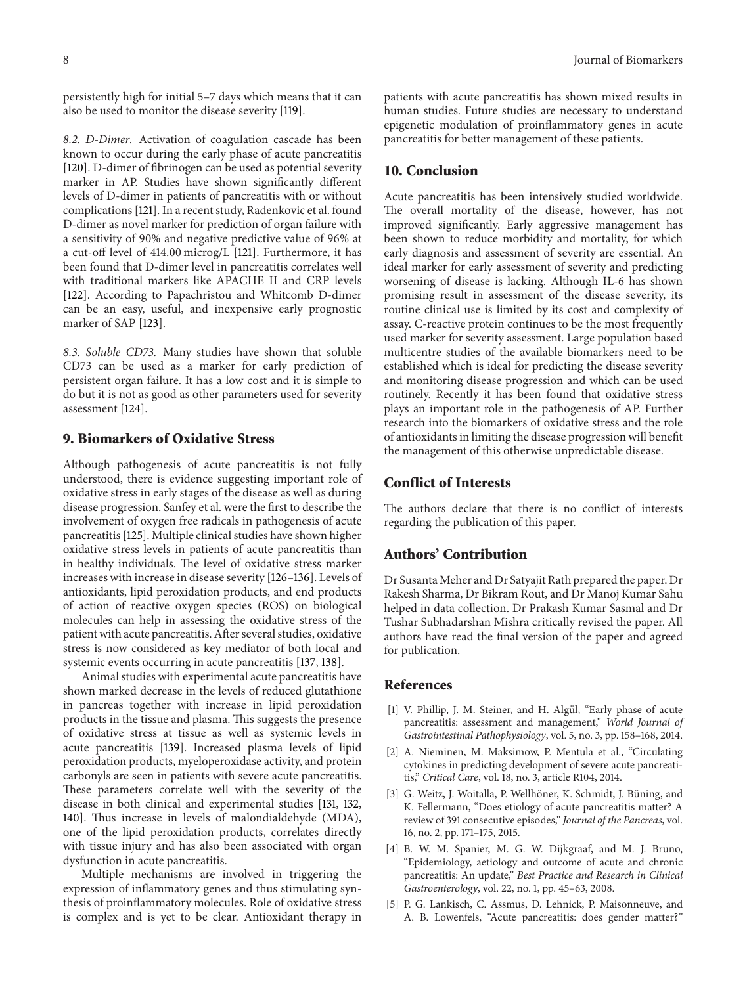persistently high for initial 5–7 days which means that it can also be used to monitor the disease severity [119].

*8.2. D-Dimer.* Activation of coagulation cascade has been known to occur during the early phase of acute pancreatitis [120]. D-dimer of fibrinogen can be used as potential severity marker in AP. Studies have shown significantly different levels of D-dimer in patients of pancreatitis with or without complications [121]. In a recent study, Radenkovic et al. found D-dimer as novel marker for prediction of organ failure with a sensitivity of 90% and negative predictive value of 96% at a cut-off level of 414.00 microg/L [121]. Furthermore, it has been found that D-dimer level in pancreatitis correlates well with traditional markers like APACHE II and CRP levels [122]. According to Papachristou and Whitcomb D-dimer can be an easy, useful, and inexpensive early prognostic marker of SAP [123].

*8.3. Soluble CD73.* Many studies have shown that soluble CD73 can be used as a marker for early prediction of persistent organ failure. It has a low cost and it is simple to do but it is not as good as other parameters used for severity assessment [124].

## **9. Biomarkers of Oxidative Stress**

Although pathogenesis of acute pancreatitis is not fully understood, there is evidence suggesting important role of oxidative stress in early stages of the disease as well as during disease progression. Sanfey et al. were the first to describe the involvement of oxygen free radicals in pathogenesis of acute pancreatitis [125]. Multiple clinical studies have shown higher oxidative stress levels in patients of acute pancreatitis than in healthy individuals. The level of oxidative stress marker increases with increase in disease severity [126–136]. Levels of antioxidants, lipid peroxidation products, and end products of action of reactive oxygen species (ROS) on biological molecules can help in assessing the oxidative stress of the patient with acute pancreatitis. After several studies, oxidative stress is now considered as key mediator of both local and systemic events occurring in acute pancreatitis [137, 138].

Animal studies with experimental acute pancreatitis have shown marked decrease in the levels of reduced glutathione in pancreas together with increase in lipid peroxidation products in the tissue and plasma. This suggests the presence of oxidative stress at tissue as well as systemic levels in acute pancreatitis [139]. Increased plasma levels of lipid peroxidation products, myeloperoxidase activity, and protein carbonyls are seen in patients with severe acute pancreatitis. These parameters correlate well with the severity of the disease in both clinical and experimental studies [131, 132, 140]. Thus increase in levels of malondialdehyde (MDA), one of the lipid peroxidation products, correlates directly with tissue injury and has also been associated with organ dysfunction in acute pancreatitis.

Multiple mechanisms are involved in triggering the expression of inflammatory genes and thus stimulating synthesis of proinflammatory molecules. Role of oxidative stress is complex and is yet to be clear. Antioxidant therapy in

patients with acute pancreatitis has shown mixed results in human studies. Future studies are necessary to understand epigenetic modulation of proinflammatory genes in acute pancreatitis for better management of these patients.

### **10. Conclusion**

Acute pancreatitis has been intensively studied worldwide. The overall mortality of the disease, however, has not improved significantly. Early aggressive management has been shown to reduce morbidity and mortality, for which early diagnosis and assessment of severity are essential. An ideal marker for early assessment of severity and predicting worsening of disease is lacking. Although IL-6 has shown promising result in assessment of the disease severity, its routine clinical use is limited by its cost and complexity of assay. C-reactive protein continues to be the most frequently used marker for severity assessment. Large population based multicentre studies of the available biomarkers need to be established which is ideal for predicting the disease severity and monitoring disease progression and which can be used routinely. Recently it has been found that oxidative stress plays an important role in the pathogenesis of AP. Further research into the biomarkers of oxidative stress and the role of antioxidants in limiting the disease progression will benefit the management of this otherwise unpredictable disease.

#### **Conflict of Interests**

The authors declare that there is no conflict of interests regarding the publication of this paper.

## **Authors' Contribution**

Dr Susanta Meher and Dr Satyajit Rath prepared the paper. Dr Rakesh Sharma, Dr Bikram Rout, and Dr Manoj Kumar Sahu helped in data collection. Dr Prakash Kumar Sasmal and Dr Tushar Subhadarshan Mishra critically revised the paper. All authors have read the final version of the paper and agreed for publication.

#### **References**

- [1] V. Phillip, J. M. Steiner, and H. Algül, "Early phase of acute pancreatitis: assessment and management," *World Journal of Gastrointestinal Pathophysiology*, vol. 5, no. 3, pp. 158–168, 2014.
- [2] A. Nieminen, M. Maksimow, P. Mentula et al., "Circulating cytokines in predicting development of severe acute pancreatitis," *Critical Care*, vol. 18, no. 3, article R104, 2014.
- [3] G. Weitz, J. Woitalla, P. Wellhöner, K. Schmidt, J. Büning, and K. Fellermann, "Does etiology of acute pancreatitis matter? A review of 391 consecutive episodes," *Journal of the Pancreas*, vol. 16, no. 2, pp. 171–175, 2015.
- [4] B. W. M. Spanier, M. G. W. Dijkgraaf, and M. J. Bruno, "Epidemiology, aetiology and outcome of acute and chronic pancreatitis: An update," *Best Practice and Research in Clinical Gastroenterology*, vol. 22, no. 1, pp. 45–63, 2008.
- [5] P. G. Lankisch, C. Assmus, D. Lehnick, P. Maisonneuve, and A. B. Lowenfels, "Acute pancreatitis: does gender matter?"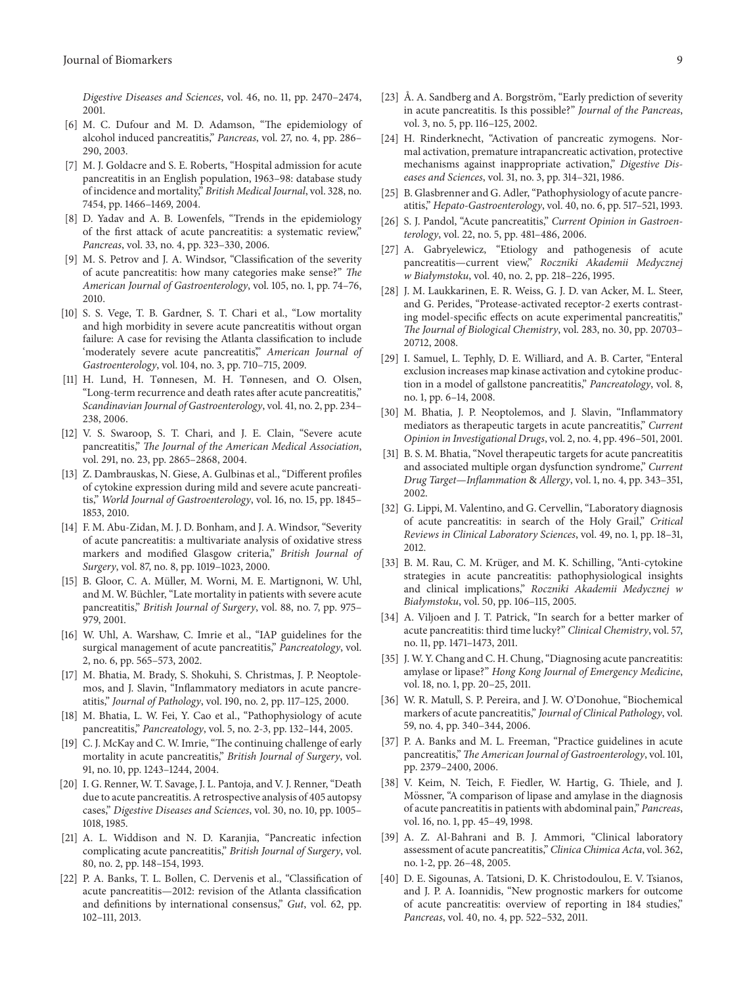*Digestive Diseases and Sciences*, vol. 46, no. 11, pp. 2470–2474, 2001.

- [6] M. C. Dufour and M. D. Adamson, "The epidemiology of alcohol induced pancreatitis," *Pancreas*, vol. 27, no. 4, pp. 286– 290, 2003.
- [7] M. J. Goldacre and S. E. Roberts, "Hospital admission for acute pancreatitis in an English population, 1963–98: database study of incidence and mortality," *British Medical Journal*, vol. 328, no. 7454, pp. 1466–1469, 2004.
- [8] D. Yadav and A. B. Lowenfels, "Trends in the epidemiology of the first attack of acute pancreatitis: a systematic review," *Pancreas*, vol. 33, no. 4, pp. 323–330, 2006.
- [9] M. S. Petrov and J. A. Windsor, "Classification of the severity of acute pancreatitis: how many categories make sense?" *The American Journal of Gastroenterology*, vol. 105, no. 1, pp. 74–76, 2010.
- [10] S. S. Vege, T. B. Gardner, S. T. Chari et al., "Low mortality and high morbidity in severe acute pancreatitis without organ failure: A case for revising the Atlanta classification to include 'moderately severe acute pancreatitis'," *American Journal of Gastroenterology*, vol. 104, no. 3, pp. 710–715, 2009.
- [11] H. Lund, H. Tønnesen, M. H. Tønnesen, and O. Olsen, "Long-term recurrence and death rates after acute pancreatitis," *Scandinavian Journal of Gastroenterology*, vol. 41, no. 2, pp. 234– 238, 2006.
- [12] V. S. Swaroop, S. T. Chari, and J. E. Clain, "Severe acute pancreatitis," *The Journal of the American Medical Association*, vol. 291, no. 23, pp. 2865–2868, 2004.
- [13] Z. Dambrauskas, N. Giese, A. Gulbinas et al., "Different profiles of cytokine expression during mild and severe acute pancreatitis," *World Journal of Gastroenterology*, vol. 16, no. 15, pp. 1845– 1853, 2010.
- [14] F. M. Abu-Zidan, M. J. D. Bonham, and J. A. Windsor, "Severity of acute pancreatitis: a multivariate analysis of oxidative stress markers and modified Glasgow criteria," *British Journal of Surgery*, vol. 87, no. 8, pp. 1019–1023, 2000.
- [15] B. Gloor, C. A. Müller, M. Worni, M. E. Martignoni, W. Uhl, and M. W. Büchler, "Late mortality in patients with severe acute pancreatitis," *British Journal of Surgery*, vol. 88, no. 7, pp. 975– 979, 2001.
- [16] W. Uhl, A. Warshaw, C. Imrie et al., "IAP guidelines for the surgical management of acute pancreatitis," *Pancreatology*, vol. 2, no. 6, pp. 565–573, 2002.
- [17] M. Bhatia, M. Brady, S. Shokuhi, S. Christmas, J. P. Neoptolemos, and J. Slavin, "Inflammatory mediators in acute pancreatitis," *Journal of Pathology*, vol. 190, no. 2, pp. 117–125, 2000.
- [18] M. Bhatia, L. W. Fei, Y. Cao et al., "Pathophysiology of acute pancreatitis," *Pancreatology*, vol. 5, no. 2-3, pp. 132–144, 2005.
- [19] C. J. McKay and C. W. Imrie, "The continuing challenge of early mortality in acute pancreatitis," *British Journal of Surgery*, vol. 91, no. 10, pp. 1243–1244, 2004.
- [20] I. G. Renner, W. T. Savage, J. L. Pantoja, and V. J. Renner, "Death due to acute pancreatitis. A retrospective analysis of 405 autopsy cases," *Digestive Diseases and Sciences*, vol. 30, no. 10, pp. 1005– 1018, 1985.
- [21] A. L. Widdison and N. D. Karanjia, "Pancreatic infection complicating acute pancreatitis," *British Journal of Surgery*, vol. 80, no. 2, pp. 148–154, 1993.
- [22] P. A. Banks, T. L. Bollen, C. Dervenis et al., "Classification of acute pancreatitis—2012: revision of the Atlanta classification and definitions by international consensus," *Gut*, vol. 62, pp. 102–111, 2013.
- [23] Å. A. Sandberg and A. Borgström, "Early prediction of severity in acute pancreatitis. Is this possible?" *Journal of the Pancreas*, vol. 3, no. 5, pp. 116–125, 2002.
- [24] H. Rinderknecht, "Activation of pancreatic zymogens. Normal activation, premature intrapancreatic activation, protective mechanisms against inappropriate activation," *Digestive Diseases and Sciences*, vol. 31, no. 3, pp. 314–321, 1986.
- [25] B. Glasbrenner and G. Adler, "Pathophysiology of acute pancreatitis," *Hepato-Gastroenterology*, vol. 40, no. 6, pp. 517–521, 1993.
- [26] S. J. Pandol, "Acute pancreatitis," *Current Opinion in Gastroenterology*, vol. 22, no. 5, pp. 481–486, 2006.
- [27] A. Gabryelewicz, "Etiology and pathogenesis of acute pancreatitis—current view," *Roczniki Akademii Medycznej w Białymstoku*, vol. 40, no. 2, pp. 218–226, 1995.
- [28] J. M. Laukkarinen, E. R. Weiss, G. J. D. van Acker, M. L. Steer, and G. Perides, "Protease-activated receptor-2 exerts contrasting model-specific effects on acute experimental pancreatitis," *The Journal of Biological Chemistry*, vol. 283, no. 30, pp. 20703– 20712, 2008.
- [29] I. Samuel, L. Tephly, D. E. Williard, and A. B. Carter, "Enteral exclusion increases map kinase activation and cytokine production in a model of gallstone pancreatitis," *Pancreatology*, vol. 8, no. 1, pp. 6–14, 2008.
- [30] M. Bhatia, J. P. Neoptolemos, and J. Slavin, "Inflammatory mediators as therapeutic targets in acute pancreatitis," *Current Opinion in Investigational Drugs*, vol. 2, no. 4, pp. 496–501, 2001.
- [31] B. S. M. Bhatia, "Novel therapeutic targets for acute pancreatitis and associated multiple organ dysfunction syndrome," *Current Drug Target—Inflammation* & *Allergy*, vol. 1, no. 4, pp. 343–351, 2002.
- [32] G. Lippi, M. Valentino, and G. Cervellin, "Laboratory diagnosis" of acute pancreatitis: in search of the Holy Grail," *Critical Reviews in Clinical Laboratory Sciences*, vol. 49, no. 1, pp. 18–31, 2012.
- [33] B. M. Rau, C. M. Krüger, and M. K. Schilling, "Anti-cytokine strategies in acute pancreatitis: pathophysiological insights and clinical implications," *Roczniki Akademii Medycznej w Białymstoku*, vol. 50, pp. 106–115, 2005.
- [34] A. Viljoen and J. T. Patrick, "In search for a better marker of acute pancreatitis: third time lucky?" *Clinical Chemistry*, vol. 57, no. 11, pp. 1471–1473, 2011.
- [35] J. W. Y. Chang and C. H. Chung, "Diagnosing acute pancreatitis: amylase or lipase?" *Hong Kong Journal of Emergency Medicine*, vol. 18, no. 1, pp. 20–25, 2011.
- [36] W. R. Matull, S. P. Pereira, and J. W. O'Donohue, "Biochemical markers of acute pancreatitis," *Journal of Clinical Pathology*, vol. 59, no. 4, pp. 340–344, 2006.
- [37] P. A. Banks and M. L. Freeman, "Practice guidelines in acute pancreatitis," *The American Journal of Gastroenterology*, vol. 101, pp. 2379–2400, 2006.
- [38] V. Keim, N. Teich, F. Fiedler, W. Hartig, G. Thiele, and J. Mössner, "A comparison of lipase and amylase in the diagnosis of acute pancreatitis in patients with abdominal pain," *Pancreas*, vol. 16, no. 1, pp. 45–49, 1998.
- [39] A. Z. Al-Bahrani and B. J. Ammori, "Clinical laboratory assessment of acute pancreatitis," *Clinica Chimica Acta*, vol. 362, no. 1-2, pp. 26–48, 2005.
- [40] D. E. Sigounas, A. Tatsioni, D. K. Christodoulou, E. V. Tsianos, and J. P. A. Ioannidis, "New prognostic markers for outcome of acute pancreatitis: overview of reporting in 184 studies," *Pancreas*, vol. 40, no. 4, pp. 522–532, 2011.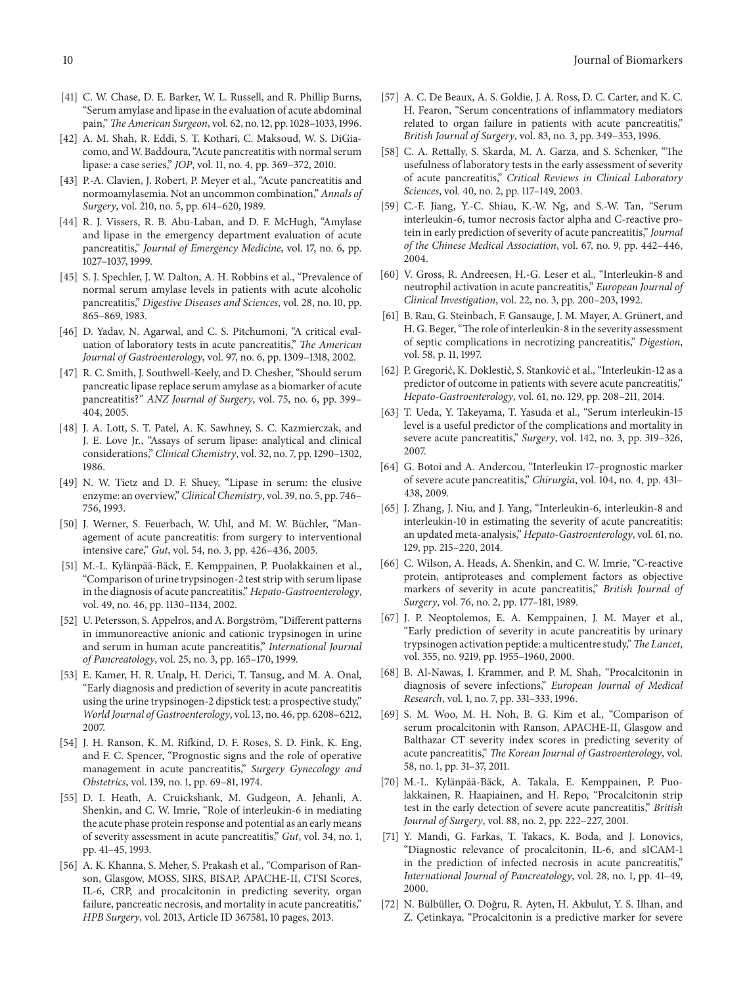- [41] C. W. Chase, D. E. Barker, W. L. Russell, and R. Phillip Burns, "Serum amylase and lipase in the evaluation of acute abdominal pain,"*The American Surgeon*, vol. 62, no. 12, pp. 1028–1033, 1996.
- [42] A. M. Shah, R. Eddi, S. T. Kothari, C. Maksoud, W. S. DiGiacomo, and W. Baddoura, "Acute pancreatitis with normal serum lipase: a case series," *JOP*, vol. 11, no. 4, pp. 369–372, 2010.
- [43] P.-A. Clavien, J. Robert, P. Meyer et al., "Acute pancreatitis and normoamylasemia. Not an uncommon combination," *Annals of Surgery*, vol. 210, no. 5, pp. 614–620, 1989.
- [44] R. J. Vissers, R. B. Abu-Laban, and D. F. McHugh, "Amylase and lipase in the emergency department evaluation of acute pancreatitis," *Journal of Emergency Medicine*, vol. 17, no. 6, pp. 1027–1037, 1999.
- [45] S. J. Spechler, J. W. Dalton, A. H. Robbins et al., "Prevalence of normal serum amylase levels in patients with acute alcoholic pancreatitis," *Digestive Diseases and Sciences*, vol. 28, no. 10, pp. 865–869, 1983.
- [46] D. Yadav, N. Agarwal, and C. S. Pitchumoni, "A critical evaluation of laboratory tests in acute pancreatitis," *The American Journal of Gastroenterology*, vol. 97, no. 6, pp. 1309–1318, 2002.
- [47] R. C. Smith, J. Southwell-Keely, and D. Chesher, "Should serum pancreatic lipase replace serum amylase as a biomarker of acute pancreatitis?" *ANZ Journal of Surgery*, vol. 75, no. 6, pp. 399– 404, 2005.
- [48] J. A. Lott, S. T. Patel, A. K. Sawhney, S. C. Kazmierczak, and J. E. Love Jr., "Assays of serum lipase: analytical and clinical considerations," *Clinical Chemistry*, vol. 32, no. 7, pp. 1290–1302, 1986.
- [49] N. W. Tietz and D. F. Shuey, "Lipase in serum: the elusive enzyme: an overview," *Clinical Chemistry*, vol. 39, no. 5, pp. 746– 756, 1993.
- [50] J. Werner, S. Feuerbach, W. Uhl, and M. W. Büchler, "Management of acute pancreatitis: from surgery to interventional intensive care," *Gut*, vol. 54, no. 3, pp. 426–436, 2005.
- [51] M.-L. Kylänpää-Bäck, E. Kemppainen, P. Puolakkainen et al., "Comparison of urine trypsinogen-2 test strip with serum lipase in the diagnosis of acute pancreatitis," *Hepato-Gastroenterology*, vol. 49, no. 46, pp. 1130–1134, 2002.
- [52] U. Petersson, S. Appelros, and A. Borgström, "Different patterns in immunoreactive anionic and cationic trypsinogen in urine and serum in human acute pancreatitis," *International Journal of Pancreatology*, vol. 25, no. 3, pp. 165–170, 1999.
- [53] E. Kamer, H. R. Unalp, H. Derici, T. Tansug, and M. A. Onal, "Early diagnosis and prediction of severity in acute pancreatitis using the urine trypsinogen-2 dipstick test: a prospective study," *World Journal of Gastroenterology*, vol. 13, no. 46, pp. 6208–6212, 2007.
- [54] J. H. Ranson, K. M. Rifkind, D. F. Roses, S. D. Fink, K. Eng, and F. C. Spencer, "Prognostic signs and the role of operative management in acute pancreatitis," *Surgery Gynecology and Obstetrics*, vol. 139, no. 1, pp. 69–81, 1974.
- [55] D. I. Heath, A. Cruickshank, M. Gudgeon, A. Jehanli, A. Shenkin, and C. W. Imrie, "Role of interleukin-6 in mediating the acute phase protein response and potential as an early means of severity assessment in acute pancreatitis," *Gut*, vol. 34, no. 1, pp. 41–45, 1993.
- [56] A. K. Khanna, S. Meher, S. Prakash et al., "Comparison of Ranson, Glasgow, MOSS, SIRS, BISAP, APACHE-II, CTSI Scores, IL-6, CRP, and procalcitonin in predicting severity, organ failure, pancreatic necrosis, and mortality in acute pancreatitis," *HPB Surgery*, vol. 2013, Article ID 367581, 10 pages, 2013.
- [57] A. C. De Beaux, A. S. Goldie, J. A. Ross, D. C. Carter, and K. C. H. Fearon, "Serum concentrations of inflammatory mediators related to organ failure in patients with acute pancreatitis," *British Journal of Surgery*, vol. 83, no. 3, pp. 349–353, 1996.
- [58] C. A. Rettally, S. Skarda, M. A. Garza, and S. Schenker, "The usefulness of laboratory tests in the early assessment of severity of acute pancreatitis," *Critical Reviews in Clinical Laboratory Sciences*, vol. 40, no. 2, pp. 117–149, 2003.
- [59] C.-F. Jiang, Y.-C. Shiau, K.-W. Ng, and S.-W. Tan, "Serum interleukin-6, tumor necrosis factor alpha and C-reactive protein in early prediction of severity of acute pancreatitis," *Journal of the Chinese Medical Association*, vol. 67, no. 9, pp. 442–446, 2004.
- [60] V. Gross, R. Andreesen, H.-G. Leser et al., "Interleukin-8 and neutrophil activation in acute pancreatitis," *European Journal of Clinical Investigation*, vol. 22, no. 3, pp. 200–203, 1992.
- [61] B. Rau, G. Steinbach, F. Gansauge, J. M. Mayer, A. Grünert, and H. G. Beger, "The role of interleukin-8 in the severity assessment of septic complications in necrotizing pancreatitis," *Digestion*, vol. 58, p. 11, 1997.
- [62] P. Gregorić, K. Doklestić, S. Stanković et al., "Interleukin-12 as a predictor of outcome in patients with severe acute pancreatitis," *Hepato-Gastroenterology*, vol. 61, no. 129, pp. 208–211, 2014.
- [63] T. Ueda, Y. Takeyama, T. Yasuda et al., "Serum interleukin-15 level is a useful predictor of the complications and mortality in severe acute pancreatitis," *Surgery*, vol. 142, no. 3, pp. 319–326, 2007.
- [64] G. Botoi and A. Andercou, "Interleukin 17–prognostic marker of severe acute pancreatitis," *Chirurgia*, vol. 104, no. 4, pp. 431– 438, 2009.
- [65] J. Zhang, J. Niu, and J. Yang, "Interleukin-6, interleukin-8 and interleukin-10 in estimating the severity of acute pancreatitis: an updated meta-analysis," *Hepato-Gastroenterology*, vol. 61, no. 129, pp. 215–220, 2014.
- [66] C. Wilson, A. Heads, A. Shenkin, and C. W. Imrie, "C-reactive protein, antiproteases and complement factors as objective markers of severity in acute pancreatitis," *British Journal of Surgery*, vol. 76, no. 2, pp. 177–181, 1989.
- [67] J. P. Neoptolemos, E. A. Kemppainen, J. M. Mayer et al., "Early prediction of severity in acute pancreatitis by urinary trypsinogen activation peptide: a multicentre study,"*The Lancet*, vol. 355, no. 9219, pp. 1955–1960, 2000.
- [68] B. Al-Nawas, I. Krammer, and P. M. Shah, "Procalcitonin in diagnosis of severe infections," *European Journal of Medical Research*, vol. 1, no. 7, pp. 331–333, 1996.
- [69] S. M. Woo, M. H. Noh, B. G. Kim et al., "Comparison of serum procalcitonin with Ranson, APACHE-II, Glasgow and Balthazar CT severity index scores in predicting severity of acute pancreatitis," *The Korean Journal of Gastroenterology*, vol. 58, no. 1, pp. 31–37, 2011.
- [70] M.-L. Kylänpää-Bäck, A. Takala, E. Kemppainen, P. Puolakkainen, R. Haapiainen, and H. Repo, "Procalcitonin strip test in the early detection of severe acute pancreatitis," *British Journal of Surgery*, vol. 88, no. 2, pp. 222–227, 2001.
- [71] Y. Mandi, G. Farkas, T. Takacs, K. Boda, and J. Lonovics, "Diagnostic relevance of procalcitonin, IL-6, and sICAM-1 in the prediction of infected necrosis in acute pancreatitis," *International Journal of Pancreatology*, vol. 28, no. 1, pp. 41–49, 2000.
- [72] N. Bülbüller, O. Doğru, R. Ayten, H. Akbulut, Y. S. Ilhan, and Z. Çetinkaya, "Procalcitonin is a predictive marker for severe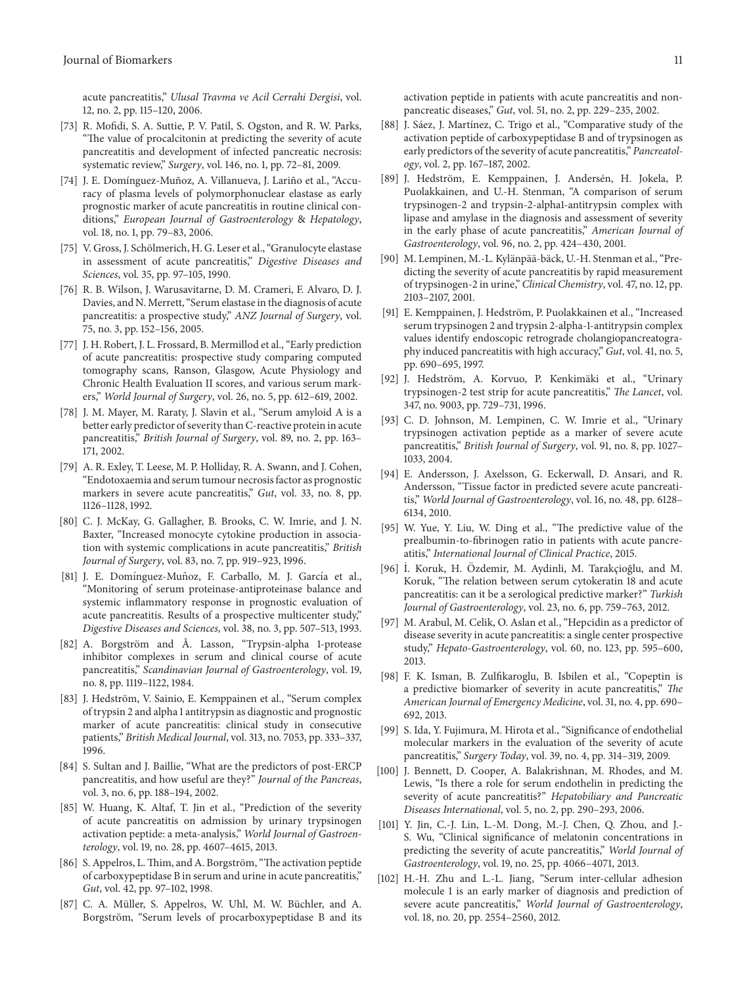acute pancreatitis," *Ulusal Travma ve Acil Cerrahi Dergisi*, vol. 12, no. 2, pp. 115–120, 2006.

- [73] R. Mofidi, S. A. Suttie, P. V. Patil, S. Ogston, and R. W. Parks, "The value of procalcitonin at predicting the severity of acute pancreatitis and development of infected pancreatic necrosis: systematic review," *Surgery*, vol. 146, no. 1, pp. 72–81, 2009.
- [74] J. E. Domínguez-Muñoz, A. Villanueva, J. Lariño et al., "Accuracy of plasma levels of polymorphonuclear elastase as early prognostic marker of acute pancreatitis in routine clinical conditions," *European Journal of Gastroenterology* & *Hepatology*, vol. 18, no. 1, pp. 79–83, 2006.
- [75] V. Gross, J. Schölmerich, H. G. Leser et al., "Granulocyte elastase in assessment of acute pancreatitis," *Digestive Diseases and Sciences*, vol. 35, pp. 97–105, 1990.
- [76] R. B. Wilson, J. Warusavitarne, D. M. Crameri, F. Alvaro, D. J. Davies, and N. Merrett, "Serum elastase in the diagnosis of acute pancreatitis: a prospective study," *ANZ Journal of Surgery*, vol. 75, no. 3, pp. 152–156, 2005.
- [77] J. H. Robert, J. L. Frossard, B. Mermillod et al., "Early prediction of acute pancreatitis: prospective study comparing computed tomography scans, Ranson, Glasgow, Acute Physiology and Chronic Health Evaluation II scores, and various serum markers," *World Journal of Surgery*, vol. 26, no. 5, pp. 612–619, 2002.
- [78] J. M. Mayer, M. Raraty, J. Slavin et al., "Serum amyloid A is a better early predictor of severity than C-reactive protein in acute pancreatitis," *British Journal of Surgery*, vol. 89, no. 2, pp. 163– 171, 2002.
- [79] A. R. Exley, T. Leese, M. P. Holliday, R. A. Swann, and J. Cohen, "Endotoxaemia and serum tumour necrosis factor as prognostic markers in severe acute pancreatitis," *Gut*, vol. 33, no. 8, pp. 1126–1128, 1992.
- [80] C. J. McKay, G. Gallagher, B. Brooks, C. W. Imrie, and J. N. Baxter, "Increased monocyte cytokine production in association with systemic complications in acute pancreatitis," *British Journal of Surgery*, vol. 83, no. 7, pp. 919–923, 1996.
- [81] J. E. Domínguez-Muñoz, F. Carballo, M. J. García et al., "Monitoring of serum proteinase-antiproteinase balance and systemic inflammatory response in prognostic evaluation of acute pancreatitis. Results of a prospective multicenter study," *Digestive Diseases and Sciences*, vol. 38, no. 3, pp. 507–513, 1993.
- [82] A. Borgström and Å. Lasson, "Trypsin-alpha 1-protease inhibitor complexes in serum and clinical course of acute pancreatitis," *Scandinavian Journal of Gastroenterology*, vol. 19, no. 8, pp. 1119–1122, 1984.
- [83] J. Hedström, V. Sainio, E. Kemppainen et al., "Serum complex of trypsin 2 and alpha 1 antitrypsin as diagnostic and prognostic marker of acute pancreatitis: clinical study in consecutive patients," *British Medical Journal*, vol. 313, no. 7053, pp. 333–337, 1996.
- [84] S. Sultan and J. Baillie, "What are the predictors of post-ERCP pancreatitis, and how useful are they?" *Journal of the Pancreas*, vol. 3, no. 6, pp. 188–194, 2002.
- [85] W. Huang, K. Altaf, T. Jin et al., "Prediction of the severity of acute pancreatitis on admission by urinary trypsinogen activation peptide: a meta-analysis," *World Journal of Gastroenterology*, vol. 19, no. 28, pp. 4607–4615, 2013.
- [86] S. Appelros, L. Thim, and A. Borgström, "The activation peptide of carboxypeptidase B in serum and urine in acute pancreatitis," *Gut*, vol. 42, pp. 97–102, 1998.
- [87] C. A. Müller, S. Appelros, W. Uhl, M. W. Büchler, and A. Borgström, "Serum levels of procarboxypeptidase B and its

activation peptide in patients with acute pancreatitis and nonpancreatic diseases," *Gut*, vol. 51, no. 2, pp. 229–235, 2002.

- [88] J. Sáez, J. Martínez, C. Trigo et al., "Comparative study of the activation peptide of carboxypeptidase B and of trypsinogen as early predictors of the severity of acute pancreatitis," *Pancreatology*, vol. 2, pp. 167–187, 2002.
- [89] J. Hedström, E. Kemppainen, J. Andersén, H. Jokela, P. Puolakkainen, and U.-H. Stenman, "A comparison of serum trypsinogen-2 and trypsin-2-alpha1-antitrypsin complex with lipase and amylase in the diagnosis and assessment of severity in the early phase of acute pancreatitis," *American Journal of Gastroenterology*, vol. 96, no. 2, pp. 424–430, 2001.
- [90] M. Lempinen, M.-L. Kylänpää-bäck, U.-H. Stenman et al., "Predicting the severity of acute pancreatitis by rapid measurement of trypsinogen-2 in urine," *Clinical Chemistry*, vol. 47, no. 12, pp. 2103–2107, 2001.
- [91] E. Kemppainen, J. Hedström, P. Puolakkainen et al., "Increased serum trypsinogen 2 and trypsin 2-alpha-1-antitrypsin complex values identify endoscopic retrograde cholangiopancreatography induced pancreatitis with high accuracy," *Gut*, vol. 41, no. 5, pp. 690–695, 1997.
- [92] J. Hedström, A. Korvuo, P. Kenkimäki et al., "Urinary trypsinogen-2 test strip for acute pancreatitis," *The Lancet*, vol. 347, no. 9003, pp. 729–731, 1996.
- [93] C. D. Johnson, M. Lempinen, C. W. Imrie et al., "Urinary trypsinogen activation peptide as a marker of severe acute pancreatitis," *British Journal of Surgery*, vol. 91, no. 8, pp. 1027– 1033, 2004.
- [94] E. Andersson, J. Axelsson, G. Eckerwall, D. Ansari, and R. Andersson, "Tissue factor in predicted severe acute pancreatitis," *World Journal of Gastroenterology*, vol. 16, no. 48, pp. 6128– 6134, 2010.
- [95] W. Yue, Y. Liu, W. Ding et al., "The predictive value of the prealbumin-to-fibrinogen ratio in patients with acute pancreatitis," *International Journal of Clinical Practice*, 2015.
- [96] İ. Koruk, H. Özdemir, M. Aydinli, M. Tarakçioğlu, and M. Koruk, "The relation between serum cytokeratin 18 and acute pancreatitis: can it be a serological predictive marker?" *Turkish Journal of Gastroenterology*, vol. 23, no. 6, pp. 759–763, 2012.
- [97] M. Arabul, M. Celik, O. Aslan et al., "Hepcidin as a predictor of disease severity in acute pancreatitis: a single center prospective study," *Hepato-Gastroenterology*, vol. 60, no. 123, pp. 595–600, 2013.
- [98] F. K. Isman, B. Zulfikaroglu, B. Isbilen et al., "Copeptin is a predictive biomarker of severity in acute pancreatitis," *The American Journal of Emergency Medicine*, vol. 31, no. 4, pp. 690– 692, 2013.
- [99] S. Ida, Y. Fujimura, M. Hirota et al., "Significance of endothelial molecular markers in the evaluation of the severity of acute pancreatitis," *Surgery Today*, vol. 39, no. 4, pp. 314–319, 2009.
- [100] J. Bennett, D. Cooper, A. Balakrishnan, M. Rhodes, and M. Lewis, "Is there a role for serum endothelin in predicting the severity of acute pancreatitis?" *Hepatobiliary and Pancreatic Diseases International*, vol. 5, no. 2, pp. 290–293, 2006.
- [101] Y. Jin, C.-J. Lin, L.-M. Dong, M.-J. Chen, Q. Zhou, and J.- S. Wu, "Clinical significance of melatonin concentrations in predicting the severity of acute pancreatitis," *World Journal of Gastroenterology*, vol. 19, no. 25, pp. 4066–4071, 2013.
- [102] H.-H. Zhu and L.-L. Jiang, "Serum inter-cellular adhesion molecule 1 is an early marker of diagnosis and prediction of severe acute pancreatitis," *World Journal of Gastroenterology*, vol. 18, no. 20, pp. 2554–2560, 2012.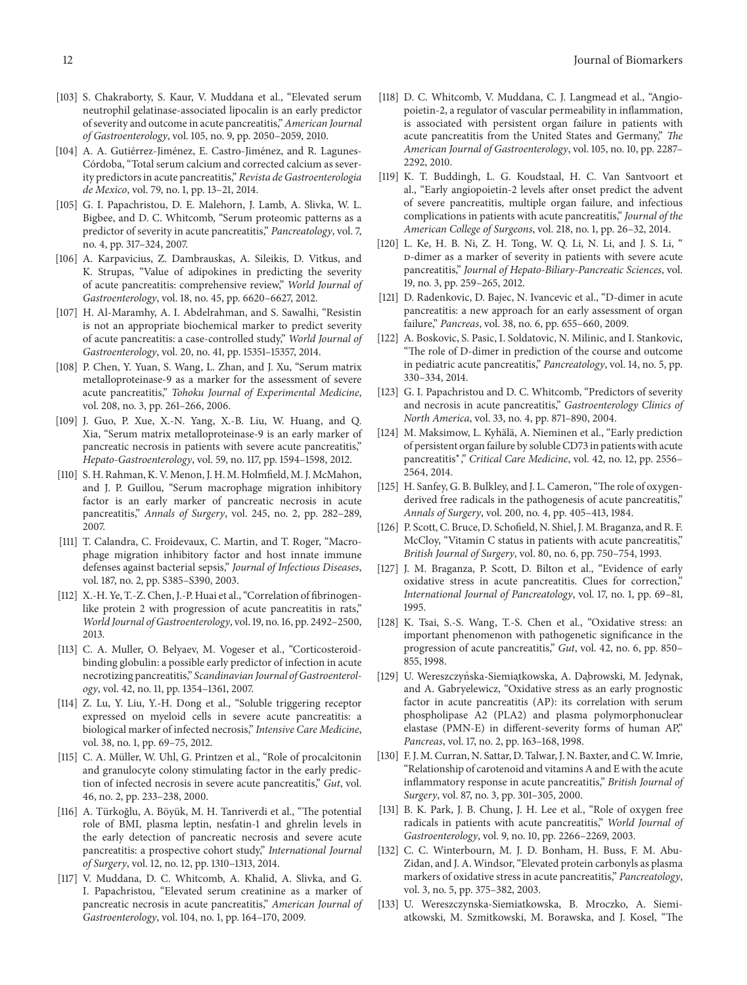- [103] S. Chakraborty, S. Kaur, V. Muddana et al., "Elevated serum neutrophil gelatinase-associated lipocalin is an early predictor of severity and outcome in acute pancreatitis," *American Journal of Gastroenterology*, vol. 105, no. 9, pp. 2050–2059, 2010.
- [104] A. A. Gutiérrez-Jiménez, E. Castro-Jiménez, and R. Lagunes-Córdoba, "Total serum calcium and corrected calcium as severity predictors in acute pancreatitis," *Revista de Gastroenterologia de Mexico*, vol. 79, no. 1, pp. 13–21, 2014.
- [105] G. I. Papachristou, D. E. Malehorn, J. Lamb, A. Slivka, W. L. Bigbee, and D. C. Whitcomb, "Serum proteomic patterns as a predictor of severity in acute pancreatitis," *Pancreatology*, vol. 7, no. 4, pp. 317–324, 2007.
- [106] A. Karpavicius, Z. Dambrauskas, A. Sileikis, D. Vitkus, and K. Strupas, "Value of adipokines in predicting the severity of acute pancreatitis: comprehensive review," *World Journal of Gastroenterology*, vol. 18, no. 45, pp. 6620–6627, 2012.
- [107] H. Al-Maramhy, A. I. Abdelrahman, and S. Sawalhi, "Resistin is not an appropriate biochemical marker to predict severity of acute pancreatitis: a case-controlled study," *World Journal of Gastroenterology*, vol. 20, no. 41, pp. 15351–15357, 2014.
- [108] P. Chen, Y. Yuan, S. Wang, L. Zhan, and J. Xu, "Serum matrix metalloproteinase-9 as a marker for the assessment of severe acute pancreatitis," *Tohoku Journal of Experimental Medicine*, vol. 208, no. 3, pp. 261–266, 2006.
- [109] J. Guo, P. Xue, X.-N. Yang, X.-B. Liu, W. Huang, and Q. Xia, "Serum matrix metalloproteinase-9 is an early marker of pancreatic necrosis in patients with severe acute pancreatitis," *Hepato-Gastroenterology*, vol. 59, no. 117, pp. 1594–1598, 2012.
- [110] S. H. Rahman, K. V. Menon, J. H. M. Holmfield, M. J. McMahon, and J. P. Guillou, "Serum macrophage migration inhibitory factor is an early marker of pancreatic necrosis in acute pancreatitis," *Annals of Surgery*, vol. 245, no. 2, pp. 282–289, 2007.
- [111] T. Calandra, C. Froidevaux, C. Martin, and T. Roger, "Macrophage migration inhibitory factor and host innate immune defenses against bacterial sepsis," *Journal of Infectious Diseases*, vol. 187, no. 2, pp. S385–S390, 2003.
- [112] X.-H. Ye, T.-Z. Chen, J.-P. Huai et al., "Correlation of fibrinogenlike protein 2 with progression of acute pancreatitis in rats," *World Journal of Gastroenterology*, vol. 19, no. 16, pp. 2492–2500, 2013.
- [113] C. A. Muller, O. Belyaev, M. Vogeser et al., "Corticosteroidbinding globulin: a possible early predictor of infection in acute necrotizing pancreatitis," *Scandinavian Journal of Gastroenterology*, vol. 42, no. 11, pp. 1354–1361, 2007.
- [114] Z. Lu, Y. Liu, Y.-H. Dong et al., "Soluble triggering receptor expressed on myeloid cells in severe acute pancreatitis: a biological marker of infected necrosis," *Intensive Care Medicine*, vol. 38, no. 1, pp. 69–75, 2012.
- [115] C. A. Müller, W. Uhl, G. Printzen et al., "Role of procalcitonin and granulocyte colony stimulating factor in the early prediction of infected necrosis in severe acute pancreatitis," *Gut*, vol. 46, no. 2, pp. 233–238, 2000.
- [116] A. Türkoğlu, A. Böyük, M. H. Tanriverdi et al., "The potential role of BMI, plasma leptin, nesfatin-1 and ghrelin levels in the early detection of pancreatic necrosis and severe acute pancreatitis: a prospective cohort study," *International Journal of Surgery*, vol. 12, no. 12, pp. 1310–1313, 2014.
- [117] V. Muddana, D. C. Whitcomb, A. Khalid, A. Slivka, and G. I. Papachristou, "Elevated serum creatinine as a marker of pancreatic necrosis in acute pancreatitis," *American Journal of Gastroenterology*, vol. 104, no. 1, pp. 164–170, 2009.
- [118] D. C. Whitcomb, V. Muddana, C. J. Langmead et al., "Angiopoietin-2, a regulator of vascular permeability in inflammation, is associated with persistent organ failure in patients with acute pancreatitis from the United States and Germany," *The American Journal of Gastroenterology*, vol. 105, no. 10, pp. 2287– 2292, 2010.
- [119] K. T. Buddingh, L. G. Koudstaal, H. C. Van Santvoort et al., "Early angiopoietin-2 levels after onset predict the advent of severe pancreatitis, multiple organ failure, and infectious complications in patients with acute pancreatitis," *Journal of the American College of Surgeons*, vol. 218, no. 1, pp. 26–32, 2014.
- [120] L. Ke, H. B. Ni, Z. H. Tong, W. Q. Li, N. Li, and J. S. Li, " d-dimer as a marker of severity in patients with severe acute pancreatitis," *Journal of Hepato-Biliary-Pancreatic Sciences*, vol. 19, no. 3, pp. 259–265, 2012.
- [121] D. Radenkovic, D. Bajec, N. Ivancevic et al., "D-dimer in acute pancreatitis: a new approach for an early assessment of organ failure," *Pancreas*, vol. 38, no. 6, pp. 655–660, 2009.
- [122] A. Boskovic, S. Pasic, I. Soldatovic, N. Milinic, and I. Stankovic, "The role of D-dimer in prediction of the course and outcome in pediatric acute pancreatitis," *Pancreatology*, vol. 14, no. 5, pp. 330–334, 2014.
- [123] G. I. Papachristou and D. C. Whitcomb, "Predictors of severity and necrosis in acute pancreatitis," *Gastroenterology Clinics of North America*, vol. 33, no. 4, pp. 871–890, 2004.
- [124] M. Maksimow, L. Kyhälä, A. Nieminen et al., "Early prediction of persistent organ failure by soluble CD73 in patients with acute pancreatitis<sup>∗</sup>," *Critical Care Medicine*, vol. 42, no. 12, pp. 2556– 2564, 2014.
- [125] H. Sanfey, G. B. Bulkley, and J. L. Cameron, "The role of oxygenderived free radicals in the pathogenesis of acute pancreatitis," *Annals of Surgery*, vol. 200, no. 4, pp. 405–413, 1984.
- [126] P. Scott, C. Bruce, D. Schofield, N. Shiel, J. M. Braganza, and R. F. McCloy, "Vitamin C status in patients with acute pancreatitis," *British Journal of Surgery*, vol. 80, no. 6, pp. 750–754, 1993.
- [127] J. M. Braganza, P. Scott, D. Bilton et al., "Evidence of early oxidative stress in acute pancreatitis. Clues for correction," *International Journal of Pancreatology*, vol. 17, no. 1, pp. 69–81, 1995.
- [128] K. Tsai, S.-S. Wang, T.-S. Chen et al., "Oxidative stress: an important phenomenon with pathogenetic significance in the progression of acute pancreatitis," *Gut*, vol. 42, no. 6, pp. 850– 855, 1998.
- [129] U. Wereszczyńska-Siemiątkowska, A. Dąbrowski, M. Jedynak, and A. Gabryelewicz, "Oxidative stress as an early prognostic factor in acute pancreatitis (AP): its correlation with serum phospholipase A2 (PLA2) and plasma polymorphonuclear elastase (PMN-E) in different-severity forms of human AP," *Pancreas*, vol. 17, no. 2, pp. 163–168, 1998.
- [130] F. J. M. Curran, N. Sattar, D. Talwar, J. N. Baxter, and C. W. Imrie, "Relationship of carotenoid and vitamins A and E with the acute inflammatory response in acute pancreatitis," *British Journal of Surgery*, vol. 87, no. 3, pp. 301–305, 2000.
- [131] B. K. Park, J. B. Chung, J. H. Lee et al., "Role of oxygen free radicals in patients with acute pancreatitis," *World Journal of Gastroenterology*, vol. 9, no. 10, pp. 2266–2269, 2003.
- [132] C. C. Winterbourn, M. J. D. Bonham, H. Buss, F. M. Abu-Zidan, and J. A. Windsor, "Elevated protein carbonyls as plasma markers of oxidative stress in acute pancreatitis," *Pancreatology*, vol. 3, no. 5, pp. 375–382, 2003.
- [133] U. Wereszczynska-Siemiatkowska, B. Mroczko, A. Siemiatkowski, M. Szmitkowski, M. Borawska, and J. Kosel, "The